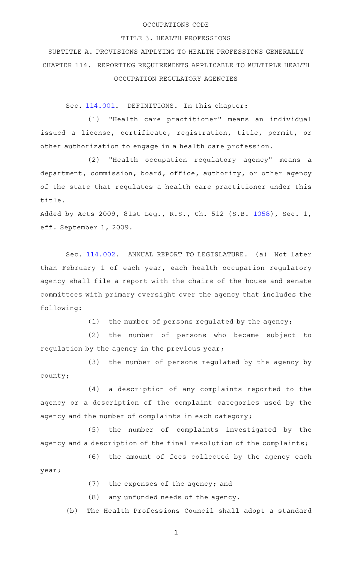## OCCUPATIONS CODE

## TITLE 3. HEALTH PROFESSIONS

SUBTITLE A. PROVISIONS APPLYING TO HEALTH PROFESSIONS GENERALLY CHAPTER 114. REPORTING REQUIREMENTS APPLICABLE TO MULTIPLE HEALTH OCCUPATION REGULATORY AGENCIES

Sec. [114.001.](http://www.statutes.legis.state.tx.us/GetStatute.aspx?Code=OC&Value=114.001) DEFINITIONS. In this chapter:

(1) "Health care practitioner" means an individual issued a license, certificate, registration, title, permit, or other authorization to engage in a health care profession.

(2) "Health occupation regulatory agency" means a department, commission, board, office, authority, or other agency of the state that regulates a health care practitioner under this title.

Added by Acts 2009, 81st Leg., R.S., Ch. 512 (S.B. [1058](http://www.legis.state.tx.us/tlodocs/81R/billtext/html/SB01058F.HTM)), Sec. 1, eff. September 1, 2009.

Sec. [114.002.](http://www.statutes.legis.state.tx.us/GetStatute.aspx?Code=OC&Value=114.002) ANNUAL REPORT TO LEGISLATURE. (a) Not later than February 1 of each year, each health occupation regulatory agency shall file a report with the chairs of the house and senate committees with primary oversight over the agency that includes the following:

(1) the number of persons regulated by the agency;

(2) the number of persons who became subject to regulation by the agency in the previous year;

(3) the number of persons regulated by the agency by county;

(4) a description of any complaints reported to the agency or a description of the complaint categories used by the agency and the number of complaints in each category;

(5) the number of complaints investigated by the agency and a description of the final resolution of the complaints;

(6) the amount of fees collected by the agency each year;

 $(7)$  the expenses of the agency; and

 $(8)$  any unfunded needs of the agency.

(b) The Health Professions Council shall adopt a standard

1